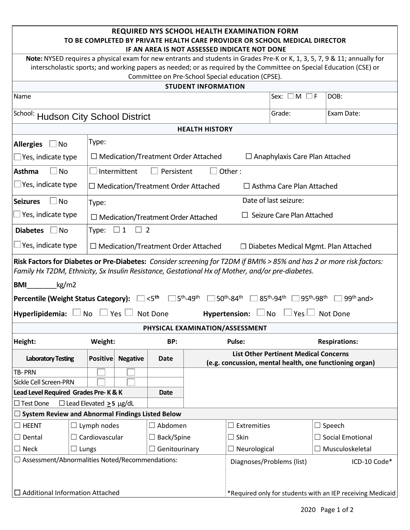| <b>REQUIRED NYS SCHOOL HEALTH EXAMINATION FORM</b><br>TO BE COMPLETED BY PRIVATE HEALTH CARE PROVIDER OR SCHOOL MEDICAL DIRECTOR<br>IF AN AREA IS NOT ASSESSED INDICATE NOT DONE                                                                                                                      |                                  |                                                                                 |                                            |                                            |                                               |                         |                                                                                                         |  |  |  |  |  |  |
|-------------------------------------------------------------------------------------------------------------------------------------------------------------------------------------------------------------------------------------------------------------------------------------------------------|----------------------------------|---------------------------------------------------------------------------------|--------------------------------------------|--------------------------------------------|-----------------------------------------------|-------------------------|---------------------------------------------------------------------------------------------------------|--|--|--|--|--|--|
| Note: NYSED requires a physical exam for new entrants and students in Grades Pre-K or K, 1, 3, 5, 7, 9 & 11; annually for<br>interscholastic sports; and working papers as needed; or as required by the Committee on Special Education (CSE) or<br>Committee on Pre-School Special education (CPSE). |                                  |                                                                                 |                                            |                                            |                                               |                         |                                                                                                         |  |  |  |  |  |  |
| <b>STUDENT INFORMATION</b>                                                                                                                                                                                                                                                                            |                                  |                                                                                 |                                            |                                            |                                               |                         |                                                                                                         |  |  |  |  |  |  |
| Name                                                                                                                                                                                                                                                                                                  |                                  |                                                                                 |                                            |                                            | Sex: $\square$ M $\square$ F                  | DOB:                    |                                                                                                         |  |  |  |  |  |  |
| School: Hudson City School District                                                                                                                                                                                                                                                                   |                                  |                                                                                 |                                            | Grade:                                     | Exam Date:                                    |                         |                                                                                                         |  |  |  |  |  |  |
| <b>HEALTH HISTORY</b>                                                                                                                                                                                                                                                                                 |                                  |                                                                                 |                                            |                                            |                                               |                         |                                                                                                         |  |  |  |  |  |  |
| <b>Allergies</b><br><b>No</b>                                                                                                                                                                                                                                                                         | Type:                            |                                                                                 |                                            |                                            |                                               |                         |                                                                                                         |  |  |  |  |  |  |
| Yes, indicate type                                                                                                                                                                                                                                                                                    |                                  |                                                                                 | $\Box$ Medication/Treatment Order Attached | $\Box$ Anaphylaxis Care Plan Attached      |                                               |                         |                                                                                                         |  |  |  |  |  |  |
| <b>Asthma</b><br><b>No</b>                                                                                                                                                                                                                                                                            |                                  | Other:<br>Intermittent<br>Persistent                                            |                                            |                                            |                                               |                         |                                                                                                         |  |  |  |  |  |  |
| $\Box$ Yes, indicate type                                                                                                                                                                                                                                                                             |                                  | $\Box$ Medication/Treatment Order Attached<br>$\Box$ Asthma Care Plan Attached  |                                            |                                            |                                               |                         |                                                                                                         |  |  |  |  |  |  |
| <b>Seizures</b><br><b>No</b>                                                                                                                                                                                                                                                                          | Type:                            | Date of last seizure:                                                           |                                            |                                            |                                               |                         |                                                                                                         |  |  |  |  |  |  |
| $\Box$ Yes, indicate type                                                                                                                                                                                                                                                                             |                                  | $\Box$ Seizure Care Plan Attached<br>$\Box$ Medication/Treatment Order Attached |                                            |                                            |                                               |                         |                                                                                                         |  |  |  |  |  |  |
| <b>Diabetes</b><br>No.                                                                                                                                                                                                                                                                                | Type: $\Box$ 1<br>$\overline{2}$ |                                                                                 |                                            |                                            |                                               |                         |                                                                                                         |  |  |  |  |  |  |
| Yes, indicate type                                                                                                                                                                                                                                                                                    |                                  |                                                                                 |                                            | $\Box$ Medication/Treatment Order Attached |                                               |                         | $\Box$ Diabetes Medical Mgmt. Plan Attached                                                             |  |  |  |  |  |  |
| Risk Factors for Diabetes or Pre-Diabetes: Consider screening for T2DM if BMI% > 85% and has 2 or more risk factors:<br>Family Hx T2DM, Ethnicity, Sx Insulin Resistance, Gestational Hx of Mother, and/or pre-diabetes.                                                                              |                                  |                                                                                 |                                            |                                            |                                               |                         |                                                                                                         |  |  |  |  |  |  |
| <b>BMI</b><br>kg/m2                                                                                                                                                                                                                                                                                   |                                  |                                                                                 |                                            |                                            |                                               |                         |                                                                                                         |  |  |  |  |  |  |
| $<$ 5 <sup>th</sup><br><sup>15th</sup> -49 <sup>th</sup> [<br>$50^{\text{th}}$ -84 <sup>th</sup> $\Box$<br>$ 85^{\text{th}}$ -94 <sup>th</sup> $\Box$<br>195 <sup>th</sup> -98 <sup>th</sup><br>$99th$ and $>$<br><b>Percentile (Weight Status Category):</b>                                         |                                  |                                                                                 |                                            |                                            |                                               |                         |                                                                                                         |  |  |  |  |  |  |
| Hyperlipidemia: $\lfloor$                                                                                                                                                                                                                                                                             | No                               | Yes                                                                             | Not Done                                   |                                            | <b>Hypertension:</b>                          | Yes $\Box$<br><b>No</b> | Not Done                                                                                                |  |  |  |  |  |  |
|                                                                                                                                                                                                                                                                                                       |                                  |                                                                                 |                                            | PHYSICAL EXAMINATION/ASSESSMENT            |                                               |                         |                                                                                                         |  |  |  |  |  |  |
| Height:<br>Weight:                                                                                                                                                                                                                                                                                    |                                  |                                                                                 | BP:                                        |                                            | Pulse:                                        | <b>Respirations:</b>    |                                                                                                         |  |  |  |  |  |  |
| <b>Laboratory Testing</b>                                                                                                                                                                                                                                                                             | <b>Positive</b>                  | <b>Negative</b><br><b>Date</b>                                                  |                                            |                                            |                                               |                         | <b>List Other Pertinent Medical Concerns</b><br>(e.g. concussion, mental health, one functioning organ) |  |  |  |  |  |  |
| TB-PRN                                                                                                                                                                                                                                                                                                |                                  |                                                                                 |                                            |                                            |                                               |                         |                                                                                                         |  |  |  |  |  |  |
| Sickle Cell Screen-PRN                                                                                                                                                                                                                                                                                |                                  |                                                                                 |                                            |                                            |                                               |                         |                                                                                                         |  |  |  |  |  |  |
| Lead Level Required Grades Pre-K&K                                                                                                                                                                                                                                                                    | <b>Date</b>                      |                                                                                 |                                            |                                            |                                               |                         |                                                                                                         |  |  |  |  |  |  |
| $\Box$ Test Done<br>$\Box$ Lead Elevated $\geq$ 5 µg/dL                                                                                                                                                                                                                                               |                                  |                                                                                 |                                            |                                            |                                               |                         |                                                                                                         |  |  |  |  |  |  |
| $\square$ System Review and Abnormal Findings Listed Below                                                                                                                                                                                                                                            |                                  |                                                                                 |                                            |                                            |                                               |                         |                                                                                                         |  |  |  |  |  |  |
| $\Box$ HEENT<br>$\Box$ Lymph nodes                                                                                                                                                                                                                                                                    |                                  | Abdomen                                                                         |                                            | Extremities<br>ப                           |                                               | $\Box$ Speech           |                                                                                                         |  |  |  |  |  |  |
| $\Box$ Cardiovascular<br>$\Box$ Dental                                                                                                                                                                                                                                                                |                                  | $\Box$ Back/Spine                                                               |                                            | $\Box$ Social Emotional<br>$\Box$ Skin     |                                               |                         |                                                                                                         |  |  |  |  |  |  |
| $\Box$ Neck<br>$\Box$ Lungs                                                                                                                                                                                                                                                                           |                                  |                                                                                 | Genitourinary                              |                                            | $\Box$ Neurological<br>$\Box$ Musculoskeletal |                         |                                                                                                         |  |  |  |  |  |  |
| $\Box$ Assessment/Abnormalities Noted/Recommendations:                                                                                                                                                                                                                                                |                                  |                                                                                 |                                            | Diagnoses/Problems (list)<br>ICD-10 Code*  |                                               |                         |                                                                                                         |  |  |  |  |  |  |
| $\Box$ Additional Information Attached                                                                                                                                                                                                                                                                |                                  | *Required only for students with an IEP receiving Medicaid                      |                                            |                                            |                                               |                         |                                                                                                         |  |  |  |  |  |  |